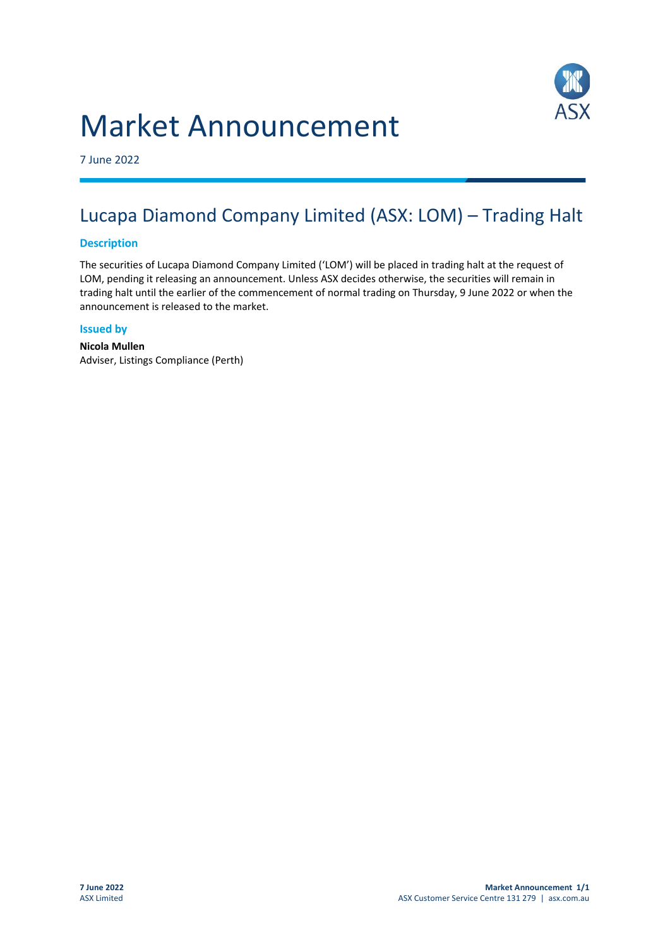



7 June 2022

## Lucapa Diamond Company Limited (ASX: LOM) – Trading Halt

## **Description**

The securities of Lucapa Diamond Company Limited ('LOM') will be placed in trading halt at the request of LOM, pending it releasing an announcement. Unless ASX decides otherwise, the securities will remain in trading halt until the earlier of the commencement of normal trading on Thursday, 9 June 2022 or when the announcement is released to the market.

## **Issued by**

**Nicola Mullen** Adviser, Listings Compliance (Perth)